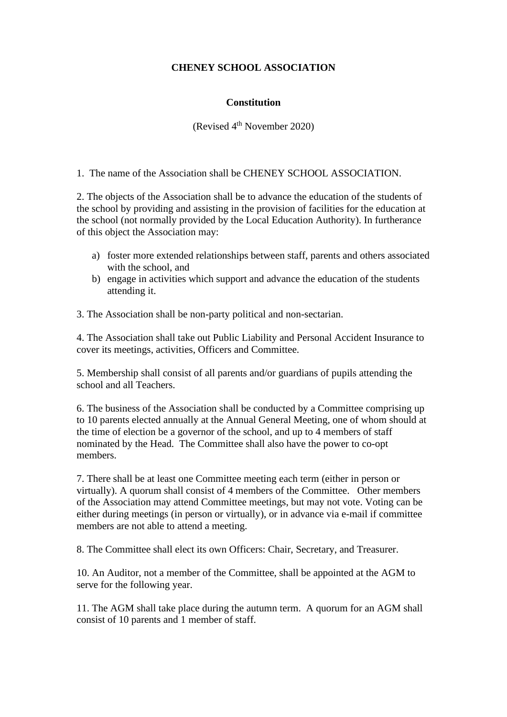## **CHENEY SCHOOL ASSOCIATION**

## **Constitution**

(Revised 4<sup>th</sup> November 2020)

1. The name of the Association shall be CHENEY SCHOOL ASSOCIATION.

2. The objects of the Association shall be to advance the education of the students of the school by providing and assisting in the provision of facilities for the education at the school (not normally provided by the Local Education Authority). In furtherance of this object the Association may:

- a) foster more extended relationships between staff, parents and others associated with the school, and
- b) engage in activities which support and advance the education of the students attending it.

3. The Association shall be non-party political and non-sectarian.

4. The Association shall take out Public Liability and Personal Accident Insurance to cover its meetings, activities, Officers and Committee.

5. Membership shall consist of all parents and/or guardians of pupils attending the school and all Teachers.

6. The business of the Association shall be conducted by a Committee comprising up to 10 parents elected annually at the Annual General Meeting, one of whom should at the time of election be a governor of the school, and up to 4 members of staff nominated by the Head. The Committee shall also have the power to co-opt members.

7. There shall be at least one Committee meeting each term (either in person or virtually). A quorum shall consist of 4 members of the Committee. Other members of the Association may attend Committee meetings, but may not vote. Voting can be either during meetings (in person or virtually), or in advance via e-mail if committee members are not able to attend a meeting.

8. The Committee shall elect its own Officers: Chair, Secretary, and Treasurer.

10. An Auditor, not a member of the Committee, shall be appointed at the AGM to serve for the following year.

11. The AGM shall take place during the autumn term. A quorum for an AGM shall consist of 10 parents and 1 member of staff.